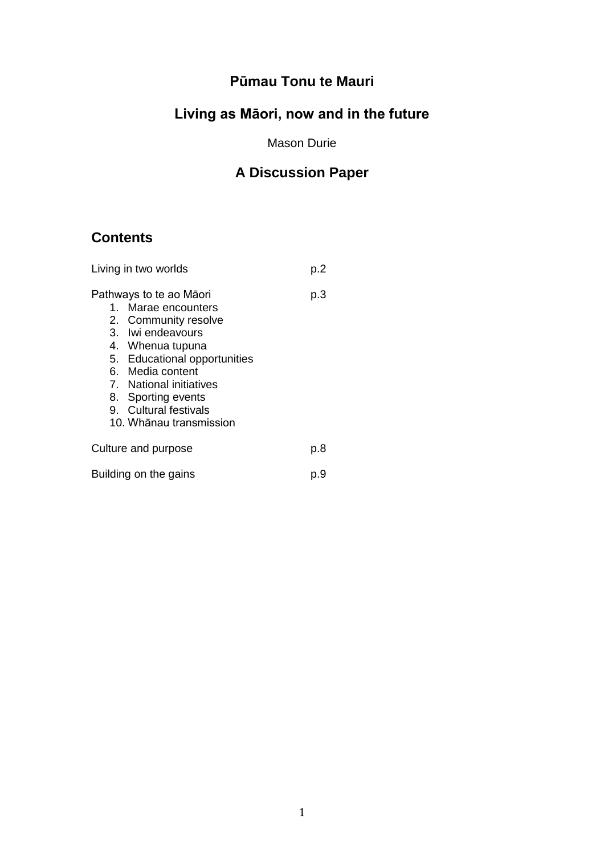# **Pūmau Tonu te Mauri**

# **Living as Māori, now and in the future**

Mason Durie

# **A Discussion Paper**

# **Contents**

| Living in two worlds                                                                                                                                                                                                                                                     | p.2 |
|--------------------------------------------------------------------------------------------------------------------------------------------------------------------------------------------------------------------------------------------------------------------------|-----|
| Pathways to te ao Māori<br>1. Marae encounters<br>2. Community resolve<br>3. Iwi endeavours<br>4. Whenua tupuna<br>5. Educational opportunities<br>6. Media content<br>7. National initiatives<br>8. Sporting events<br>9. Cultural festivals<br>10. Whānau transmission | p.3 |
| Culture and purpose                                                                                                                                                                                                                                                      | p.8 |
| Building on the gains                                                                                                                                                                                                                                                    | p.9 |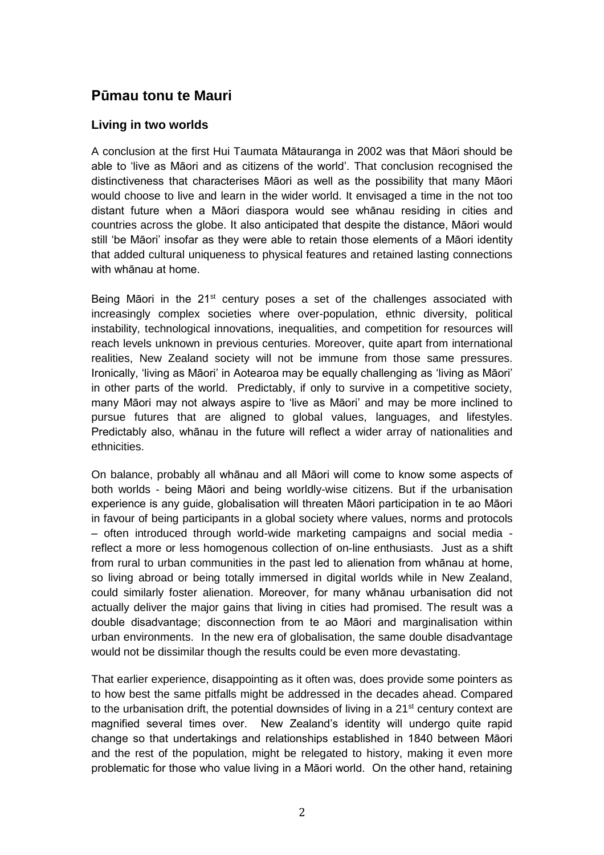# **Pūmau tonu te Mauri**

# **Living in two worlds**

A conclusion at the first Hui Taumata Mātauranga in 2002 was that Māori should be able to 'live as Māori and as citizens of the world'. That conclusion recognised the distinctiveness that characterises Māori as well as the possibility that many Māori would choose to live and learn in the wider world. It envisaged a time in the not too distant future when a Māori diaspora would see whānau residing in cities and countries across the globe. It also anticipated that despite the distance, Māori would still 'be Māori' insofar as they were able to retain those elements of a Māori identity that added cultural uniqueness to physical features and retained lasting connections with whānau at home.

Being Māori in the  $21^{st}$  century poses a set of the challenges associated with increasingly complex societies where over-population, ethnic diversity, political instability, technological innovations, inequalities, and competition for resources will reach levels unknown in previous centuries. Moreover, quite apart from international realities, New Zealand society will not be immune from those same pressures. Ironically, 'living as Māori' in Aotearoa may be equally challenging as 'living as Māori' in other parts of the world. Predictably, if only to survive in a competitive society, many Māori may not always aspire to 'live as Māori' and may be more inclined to pursue futures that are aligned to global values, languages, and lifestyles. Predictably also, whānau in the future will reflect a wider array of nationalities and ethnicities.

On balance, probably all whānau and all Māori will come to know some aspects of both worlds - being Māori and being worldly-wise citizens. But if the urbanisation experience is any guide, globalisation will threaten Māori participation in te ao Māori in favour of being participants in a global society where values, norms and protocols – often introduced through world-wide marketing campaigns and social media reflect a more or less homogenous collection of on-line enthusiasts. Just as a shift from rural to urban communities in the past led to alienation from whānau at home, so living abroad or being totally immersed in digital worlds while in New Zealand, could similarly foster alienation. Moreover, for many whānau urbanisation did not actually deliver the major gains that living in cities had promised. The result was a double disadvantage; disconnection from te ao Māori and marginalisation within urban environments. In the new era of globalisation, the same double disadvantage would not be dissimilar though the results could be even more devastating.

That earlier experience, disappointing as it often was, does provide some pointers as to how best the same pitfalls might be addressed in the decades ahead. Compared to the urbanisation drift, the potential downsides of living in a  $21<sup>st</sup>$  century context are magnified several times over. New Zealand's identity will undergo quite rapid change so that undertakings and relationships established in 1840 between Māori and the rest of the population, might be relegated to history, making it even more problematic for those who value living in a Māori world. On the other hand, retaining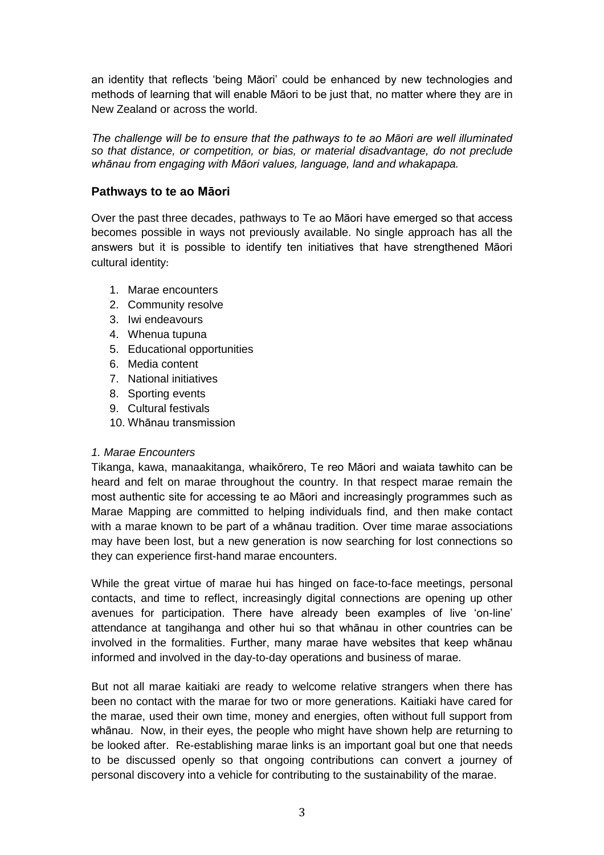an identity that reflects 'being Māori' could be enhanced by new technologies and methods of learning that will enable Māori to be just that, no matter where they are in New Zealand or across the world.

*The challenge will be to ensure that the pathways to te ao Māori are well illuminated so that distance, or competition, or bias, or material disadvantage, do not preclude whānau from engaging with Māori values, language, land and whakapapa.*

# **Pathways to te ao Māori**

Over the past three decades, pathways to Te ao Māori have emerged so that access becomes possible in ways not previously available. No single approach has all the answers but it is possible to identify ten initiatives that have strengthened Māori cultural identity:

- 1. Marae encounters
- 2. Community resolve
- 3. Iwi endeavours
- 4. Whenua tupuna
- 5. Educational opportunities
- 6. Media content
- 7. National initiatives
- 8. Sporting events
- 9. Cultural festivals
- 10. Whānau transmission

# *1. Marae Encounters*

Tikanga, kawa, manaakitanga, whaikōrero, Te reo Māori and waiata tawhito can be heard and felt on marae throughout the country. In that respect marae remain the most authentic site for accessing te ao Māori and increasingly programmes such as Marae Mapping are committed to helping individuals find, and then make contact with a marae known to be part of a whānau tradition. Over time marae associations may have been lost, but a new generation is now searching for lost connections so they can experience first-hand marae encounters.

While the great virtue of marae hui has hinged on face-to-face meetings, personal contacts, and time to reflect, increasingly digital connections are opening up other avenues for participation. There have already been examples of live 'on-line' attendance at tangihanga and other hui so that whānau in other countries can be involved in the formalities. Further, many marae have websites that keep whānau informed and involved in the day-to-day operations and business of marae.

But not all marae kaitiaki are ready to welcome relative strangers when there has been no contact with the marae for two or more generations. Kaitiaki have cared for the marae, used their own time, money and energies, often without full support from whānau. Now, in their eyes, the people who might have shown help are returning to be looked after. Re-establishing marae links is an important goal but one that needs to be discussed openly so that ongoing contributions can convert a journey of personal discovery into a vehicle for contributing to the sustainability of the marae.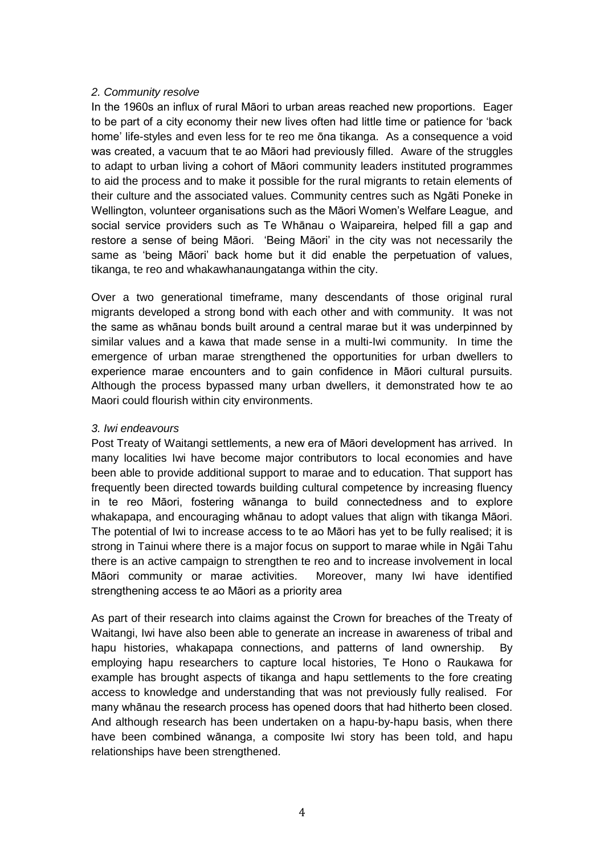# *2. Community resolve*

In the 1960s an influx of rural Māori to urban areas reached new proportions. Eager to be part of a city economy their new lives often had little time or patience for 'back home' life-styles and even less for te reo me ōna tikanga. As a consequence a void was created, a vacuum that te ao Māori had previously filled. Aware of the struggles to adapt to urban living a cohort of Māori community leaders instituted programmes to aid the process and to make it possible for the rural migrants to retain elements of their culture and the associated values. Community centres such as Ngāti Poneke in Wellington, volunteer organisations such as the Māori Women's Welfare League, and social service providers such as Te Whānau o Waipareira, helped fill a gap and restore a sense of being Māori. 'Being Māori' in the city was not necessarily the same as 'being Māori' back home but it did enable the perpetuation of values, tikanga, te reo and whakawhanaungatanga within the city.

Over a two generational timeframe, many descendants of those original rural migrants developed a strong bond with each other and with community. It was not the same as whānau bonds built around a central marae but it was underpinned by similar values and a kawa that made sense in a multi-Iwi community. In time the emergence of urban marae strengthened the opportunities for urban dwellers to experience marae encounters and to gain confidence in Māori cultural pursuits. Although the process bypassed many urban dwellers, it demonstrated how te ao Maori could flourish within city environments.

# *3. Iwi endeavours*

Post Treaty of Waitangi settlements, a new era of Māori development has arrived. In many localities Iwi have become major contributors to local economies and have been able to provide additional support to marae and to education. That support has frequently been directed towards building cultural competence by increasing fluency in te reo Māori, fostering wānanga to build connectedness and to explore whakapapa, and encouraging whānau to adopt values that align with tikanga Māori. The potential of Iwi to increase access to te ao Māori has yet to be fully realised; it is strong in Tainui where there is a major focus on support to marae while in Ngāi Tahu there is an active campaign to strengthen te reo and to increase involvement in local Māori community or marae activities. Moreover, many Iwi have identified strengthening access te ao Māori as a priority area

As part of their research into claims against the Crown for breaches of the Treaty of Waitangi, Iwi have also been able to generate an increase in awareness of tribal and hapu histories, whakapapa connections, and patterns of land ownership. By employing hapu researchers to capture local histories, Te Hono o Raukawa for example has brought aspects of tikanga and hapu settlements to the fore creating access to knowledge and understanding that was not previously fully realised. For many whānau the research process has opened doors that had hitherto been closed. And although research has been undertaken on a hapu-by-hapu basis, when there have been combined wānanga, a composite Iwi story has been told, and hapu relationships have been strengthened.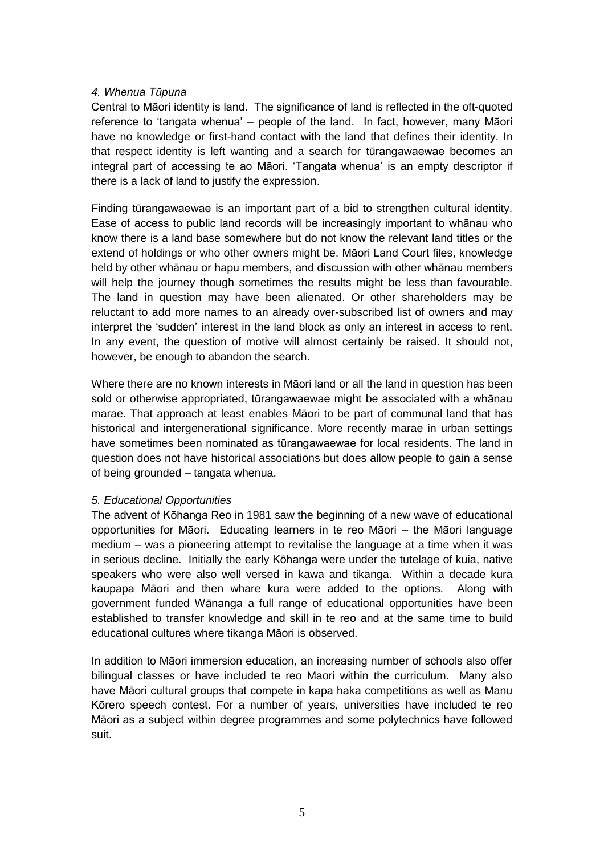# *4. Whenua Tūpuna*

Central to Māori identity is land. The significance of land is reflected in the oft-quoted reference to 'tangata whenua' – people of the land. In fact, however, many Māori have no knowledge or first-hand contact with the land that defines their identity. In that respect identity is left wanting and a search for tūrangawaewae becomes an integral part of accessing te ao Māori. 'Tangata whenua' is an empty descriptor if there is a lack of land to justify the expression.

Finding tūrangawaewae is an important part of a bid to strengthen cultural identity. Ease of access to public land records will be increasingly important to whānau who know there is a land base somewhere but do not know the relevant land titles or the extend of holdings or who other owners might be. Māori Land Court files, knowledge held by other whānau or hapu members, and discussion with other whānau members will help the journey though sometimes the results might be less than favourable. The land in question may have been alienated. Or other shareholders may be reluctant to add more names to an already over-subscribed list of owners and may interpret the 'sudden' interest in the land block as only an interest in access to rent. In any event, the question of motive will almost certainly be raised. It should not, however, be enough to abandon the search.

Where there are no known interests in Māori land or all the land in question has been sold or otherwise appropriated, tūrangawaewae might be associated with a whānau marae. That approach at least enables Māori to be part of communal land that has historical and intergenerational significance. More recently marae in urban settings have sometimes been nominated as tūrangawaewae for local residents. The land in question does not have historical associations but does allow people to gain a sense of being grounded – tangata whenua.

# *5. Educational Opportunities*

The advent of Kōhanga Reo in 1981 saw the beginning of a new wave of educational opportunities for Māori. Educating learners in te reo Māori – the Māori language medium – was a pioneering attempt to revitalise the language at a time when it was in serious decline. Initially the early Kōhanga were under the tutelage of kuia, native speakers who were also well versed in kawa and tikanga. Within a decade kura kaupapa Māori and then whare kura were added to the options. Along with government funded Wānanga a full range of educational opportunities have been established to transfer knowledge and skill in te reo and at the same time to build educational cultures where tikanga Māori is observed.

In addition to Māori immersion education, an increasing number of schools also offer bilingual classes or have included te reo Maori within the curriculum. Many also have Māori cultural groups that compete in kapa haka competitions as well as Manu Kōrero speech contest. For a number of years, universities have included te reo Māori as a subject within degree programmes and some polytechnics have followed suit.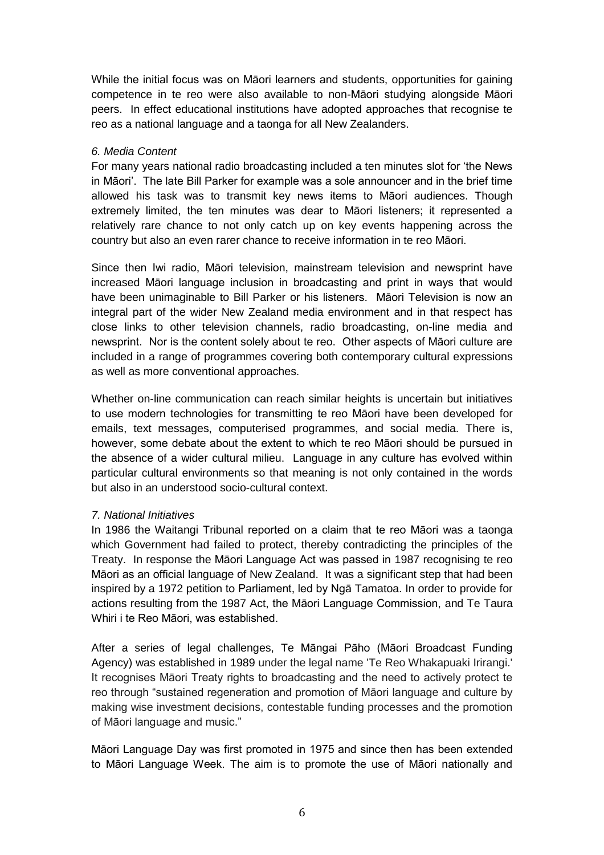While the initial focus was on Māori learners and students, opportunities for gaining competence in te reo were also available to non-Māori studying alongside Māori peers. In effect educational institutions have adopted approaches that recognise te reo as a national language and a taonga for all New Zealanders.

# *6. Media Content*

For many years national radio broadcasting included a ten minutes slot for 'the News in Māori'. The late Bill Parker for example was a sole announcer and in the brief time allowed his task was to transmit key news items to Māori audiences. Though extremely limited, the ten minutes was dear to Māori listeners; it represented a relatively rare chance to not only catch up on key events happening across the country but also an even rarer chance to receive information in te reo Māori.

Since then Iwi radio, Māori television, mainstream television and newsprint have increased Māori language inclusion in broadcasting and print in ways that would have been unimaginable to Bill Parker or his listeners. Māori Television is now an integral part of the wider New Zealand media environment and in that respect has close links to other television channels, radio broadcasting, on-line media and newsprint. Nor is the content solely about te reo. Other aspects of Māori culture are included in a range of programmes covering both contemporary cultural expressions as well as more conventional approaches.

Whether on-line communication can reach similar heights is uncertain but initiatives to use modern technologies for transmitting te reo Māori have been developed for emails, text messages, computerised programmes, and social media. There is, however, some debate about the extent to which te reo Māori should be pursued in the absence of a wider cultural milieu. Language in any culture has evolved within particular cultural environments so that meaning is not only contained in the words but also in an understood socio-cultural context.

# *7. National Initiatives*

In 1986 the Waitangi Tribunal reported on a claim that te reo Māori was a taonga which Government had failed to protect, thereby contradicting the principles of the Treaty. In response the Māori Language Act was passed in 1987 recognising te reo Māori as an official language of New Zealand. It was a significant step that had been inspired by a 1972 petition to Parliament, led by Ngā Tamatoa. In order to provide for actions resulting from the 1987 Act, the Māori Language Commission, and Te Taura Whiri i te Reo Māori, was established.

After a series of legal challenges, Te Māngai Pāho (Māori Broadcast Funding Agency) was established in 1989 under the legal name 'Te Reo Whakapuaki Irirangi.' It recognises Māori Treaty rights to broadcasting and the need to actively protect te reo through "sustained regeneration and promotion of Māori language and culture by making wise investment decisions, contestable funding processes and the promotion of Māori language and music."

Māori Language Day was first promoted in 1975 and since then has been extended to Māori Language Week. The aim is to promote the use of Māori nationally and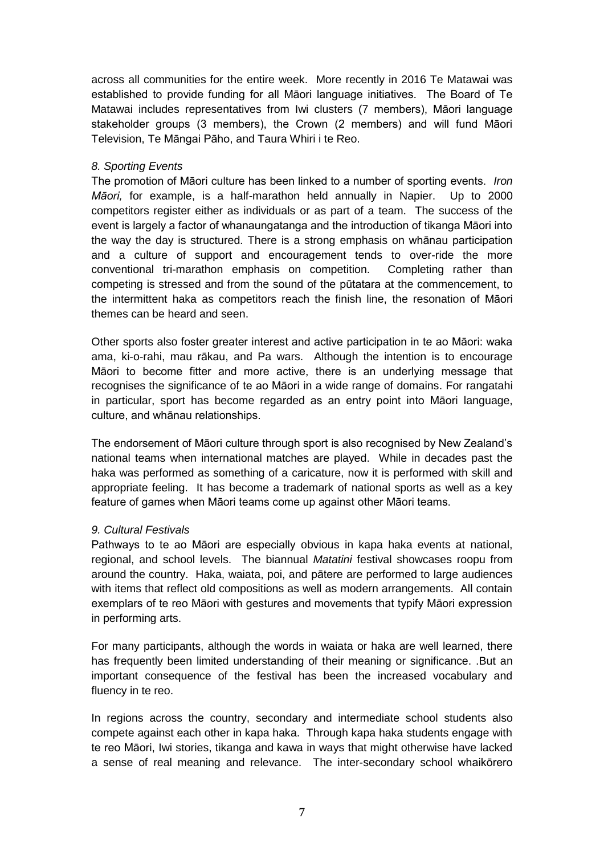across all communities for the entire week. More recently in 2016 Te Matawai was established to provide funding for all Māori language initiatives. The Board of Te Matawai includes representatives from Iwi clusters (7 members), Māori language stakeholder groups (3 members), the Crown (2 members) and will fund Māori Television, Te Māngai Pāho, and Taura Whiri i te Reo.

#### *8. Sporting Events*

The promotion of Māori culture has been linked to a number of sporting events. *Iron Māori,* for example, is a half-marathon held annually in Napier. Up to 2000 competitors register either as individuals or as part of a team. The success of the event is largely a factor of whanaungatanga and the introduction of tikanga Māori into the way the day is structured. There is a strong emphasis on whānau participation and a culture of support and encouragement tends to over-ride the more conventional tri-marathon emphasis on competition. Completing rather than competing is stressed and from the sound of the pūtatara at the commencement, to the intermittent haka as competitors reach the finish line, the resonation of Māori themes can be heard and seen.

Other sports also foster greater interest and active participation in te ao Māori: waka ama, ki-o-rahi, mau rākau, and Pa wars. Although the intention is to encourage Māori to become fitter and more active, there is an underlying message that recognises the significance of te ao Māori in a wide range of domains. For rangatahi in particular, sport has become regarded as an entry point into Māori language, culture, and whānau relationships.

The endorsement of Māori culture through sport is also recognised by New Zealand's national teams when international matches are played. While in decades past the haka was performed as something of a caricature, now it is performed with skill and appropriate feeling. It has become a trademark of national sports as well as a key feature of games when Māori teams come up against other Māori teams.

# *9. Cultural Festivals*

Pathways to te ao Māori are especially obvious in kapa haka events at national, regional, and school levels. The biannual *Matatini* festival showcases roopu from around the country. Haka, waiata, poi, and pātere are performed to large audiences with items that reflect old compositions as well as modern arrangements. All contain exemplars of te reo Māori with gestures and movements that typify Māori expression in performing arts.

For many participants, although the words in waiata or haka are well learned, there has frequently been limited understanding of their meaning or significance. .But an important consequence of the festival has been the increased vocabulary and fluency in te reo.

In regions across the country, secondary and intermediate school students also compete against each other in kapa haka. Through kapa haka students engage with te reo Māori, Iwi stories, tikanga and kawa in ways that might otherwise have lacked a sense of real meaning and relevance. The inter-secondary school whaikōrero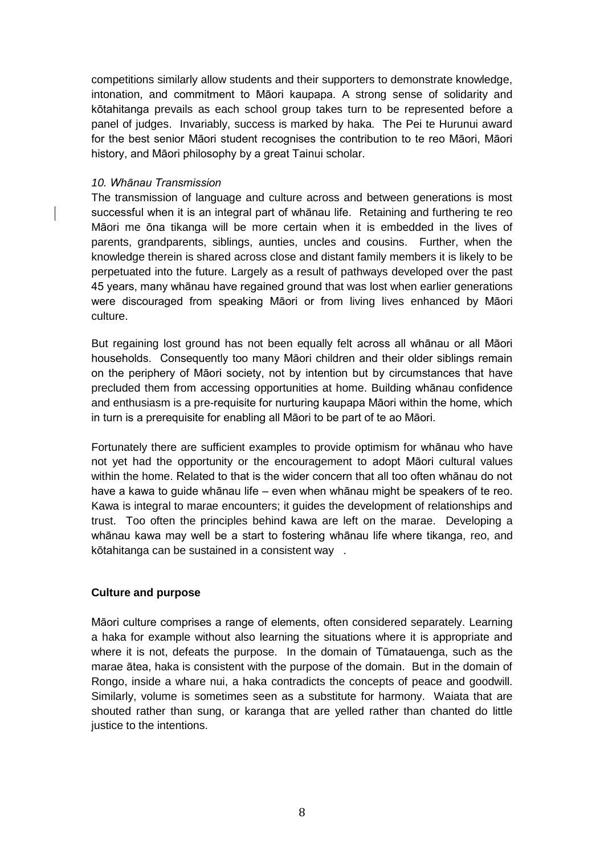competitions similarly allow students and their supporters to demonstrate knowledge, intonation, and commitment to Māori kaupapa. A strong sense of solidarity and kōtahitanga prevails as each school group takes turn to be represented before a panel of judges. Invariably, success is marked by haka. The Pei te Hurunui award for the best senior Māori student recognises the contribution to te reo Māori, Māori history, and Māori philosophy by a great Tainui scholar.

#### *10. Whānau Transmission*

The transmission of language and culture across and between generations is most successful when it is an integral part of whānau life. Retaining and furthering te reo Māori me ōna tikanga will be more certain when it is embedded in the lives of parents, grandparents, siblings, aunties, uncles and cousins. Further, when the knowledge therein is shared across close and distant family members it is likely to be perpetuated into the future. Largely as a result of pathways developed over the past 45 years, many whānau have regained ground that was lost when earlier generations were discouraged from speaking Māori or from living lives enhanced by Māori culture.

But regaining lost ground has not been equally felt across all whānau or all Māori households. Consequently too many Māori children and their older siblings remain on the periphery of Māori society, not by intention but by circumstances that have precluded them from accessing opportunities at home. Building whānau confidence and enthusiasm is a pre-requisite for nurturing kaupapa Māori within the home, which in turn is a prerequisite for enabling all Māori to be part of te ao Māori.

Fortunately there are sufficient examples to provide optimism for whānau who have not yet had the opportunity or the encouragement to adopt Māori cultural values within the home. Related to that is the wider concern that all too often whānau do not have a kawa to guide whānau life – even when whānau might be speakers of te reo. Kawa is integral to marae encounters; it guides the development of relationships and trust. Too often the principles behind kawa are left on the marae. Developing a whānau kawa may well be a start to fostering whānau life where tikanga, reo, and kōtahitanga can be sustained in a consistent way .

# **Culture and purpose**

Māori culture comprises a range of elements, often considered separately. Learning a haka for example without also learning the situations where it is appropriate and where it is not, defeats the purpose. In the domain of Tūmatauenga, such as the marae ātea, haka is consistent with the purpose of the domain. But in the domain of Rongo, inside a whare nui, a haka contradicts the concepts of peace and goodwill. Similarly, volume is sometimes seen as a substitute for harmony. Waiata that are shouted rather than sung, or karanga that are yelled rather than chanted do little justice to the intentions.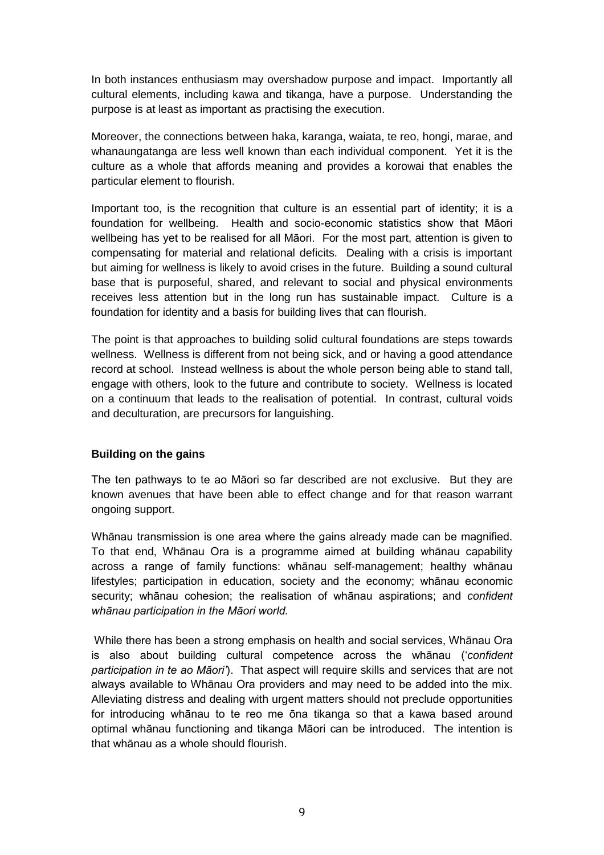In both instances enthusiasm may overshadow purpose and impact. Importantly all cultural elements, including kawa and tikanga, have a purpose. Understanding the purpose is at least as important as practising the execution.

Moreover, the connections between haka, karanga, waiata, te reo, hongi, marae, and whanaungatanga are less well known than each individual component. Yet it is the culture as a whole that affords meaning and provides a korowai that enables the particular element to flourish.

Important too, is the recognition that culture is an essential part of identity; it is a foundation for wellbeing. Health and socio-economic statistics show that Māori wellbeing has yet to be realised for all Māori. For the most part, attention is given to compensating for material and relational deficits. Dealing with a crisis is important but aiming for wellness is likely to avoid crises in the future. Building a sound cultural base that is purposeful, shared, and relevant to social and physical environments receives less attention but in the long run has sustainable impact. Culture is a foundation for identity and a basis for building lives that can flourish.

The point is that approaches to building solid cultural foundations are steps towards wellness. Wellness is different from not being sick, and or having a good attendance record at school. Instead wellness is about the whole person being able to stand tall, engage with others, look to the future and contribute to society. Wellness is located on a continuum that leads to the realisation of potential. In contrast, cultural voids and deculturation, are precursors for languishing.

# **Building on the gains**

The ten pathways to te ao Māori so far described are not exclusive. But they are known avenues that have been able to effect change and for that reason warrant ongoing support.

Whānau transmission is one area where the gains already made can be magnified. To that end, Whānau Ora is a programme aimed at building whānau capability across a range of family functions: whānau self-management; healthy whānau lifestyles; participation in education, society and the economy; whānau economic security; whānau cohesion; the realisation of whānau aspirations; and *confident whānau participation in the Māori world.*

While there has been a strong emphasis on health and social services, Whānau Ora is also about building cultural competence across the whānau ('*confident participation in te ao Māori'*). That aspect will require skills and services that are not always available to Whānau Ora providers and may need to be added into the mix. Alleviating distress and dealing with urgent matters should not preclude opportunities for introducing whānau to te reo me ōna tikanga so that a kawa based around optimal whānau functioning and tikanga Māori can be introduced. The intention is that whānau as a whole should flourish.